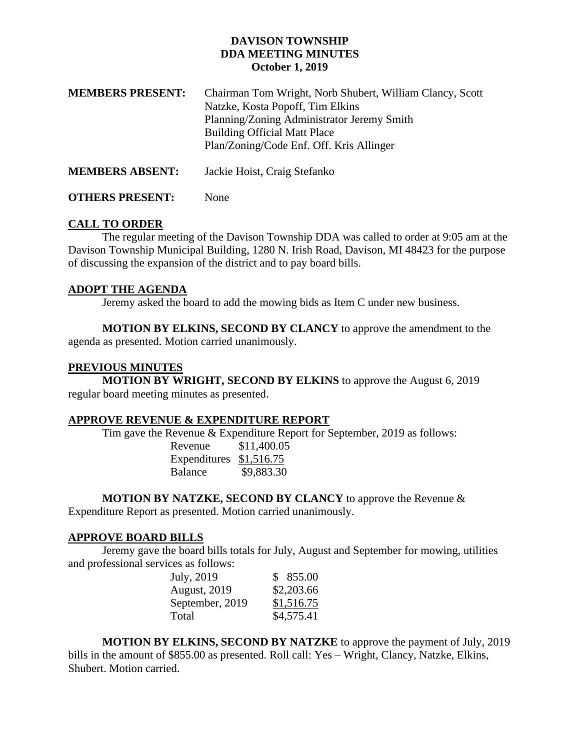# **DAVISON TOWNSHIP DDA MEETING MINUTES October 1, 2019**

| <b>MEMBERS PRESENT:</b> | Chairman Tom Wright, Norb Shubert, William Clancy, Scott<br>Natzke, Kosta Popoff, Tim Elkins<br>Planning/Zoning Administrator Jeremy Smith<br><b>Building Official Matt Place</b><br>Plan/Zoning/Code Enf. Off. Kris Allinger |
|-------------------------|-------------------------------------------------------------------------------------------------------------------------------------------------------------------------------------------------------------------------------|
| <b>MEMBERS ABSENT:</b>  | Jackie Hoist, Craig Stefanko                                                                                                                                                                                                  |

# **OTHERS PRESENT:** None

# **CALL TO ORDER**

The regular meeting of the Davison Township DDA was called to order at 9:05 am at the Davison Township Municipal Building, 1280 N. Irish Road, Davison, MI 48423 for the purpose of discussing the expansion of the district and to pay board bills.

# **ADOPT THE AGENDA**

Jeremy asked the board to add the mowing bids as Item C under new business.

**MOTION BY ELKINS, SECOND BY CLANCY** to approve the amendment to the agenda as presented. Motion carried unanimously.

# **PREVIOUS MINUTES**

**MOTION BY WRIGHT, SECOND BY ELKINS** to approve the August 6, 2019 regular board meeting minutes as presented.

### **APPROVE REVENUE & EXPENDITURE REPORT**

Tim gave the Revenue & Expenditure Report for September, 2019 as follows:

Revenue \$11,400.05 Expenditures \$1,516.75 Balance \$9,883.30

**MOTION BY NATZKE, SECOND BY CLANCY** to approve the Revenue & Expenditure Report as presented. Motion carried unanimously.

# **APPROVE BOARD BILLS**

Jeremy gave the board bills totals for July, August and September for mowing, utilities and professional services as follows:

| July, 2019          | \$855.00   |
|---------------------|------------|
| <b>August, 2019</b> | \$2,203.66 |
| September, 2019     | \$1,516.75 |
| Total               | \$4,575.41 |

**MOTION BY ELKINS, SECOND BY NATZKE** to approve the payment of July, 2019 bills in the amount of \$855.00 as presented. Roll call: Yes – Wright, Clancy, Natzke, Elkins, Shubert. Motion carried.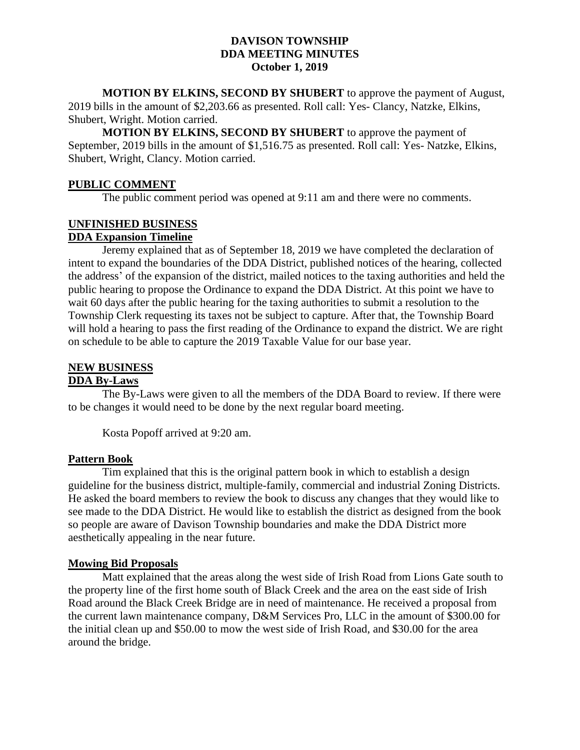### **DAVISON TOWNSHIP DDA MEETING MINUTES October 1, 2019**

**MOTION BY ELKINS, SECOND BY SHUBERT** to approve the payment of August, 2019 bills in the amount of \$2,203.66 as presented. Roll call: Yes- Clancy, Natzke, Elkins, Shubert, Wright. Motion carried.

**MOTION BY ELKINS, SECOND BY SHUBERT** to approve the payment of September, 2019 bills in the amount of \$1,516.75 as presented. Roll call: Yes- Natzke, Elkins, Shubert, Wright, Clancy. Motion carried.

### **PUBLIC COMMENT**

The public comment period was opened at 9:11 am and there were no comments.

### **UNFINISHED BUSINESS DDA Expansion Timeline**

Jeremy explained that as of September 18, 2019 we have completed the declaration of intent to expand the boundaries of the DDA District, published notices of the hearing, collected the address' of the expansion of the district, mailed notices to the taxing authorities and held the public hearing to propose the Ordinance to expand the DDA District. At this point we have to wait 60 days after the public hearing for the taxing authorities to submit a resolution to the Township Clerk requesting its taxes not be subject to capture. After that, the Township Board will hold a hearing to pass the first reading of the Ordinance to expand the district. We are right on schedule to be able to capture the 2019 Taxable Value for our base year.

#### **NEW BUSINESS DDA By-Laws**

The By-Laws were given to all the members of the DDA Board to review. If there were to be changes it would need to be done by the next regular board meeting.

Kosta Popoff arrived at 9:20 am.

### **Pattern Book**

Tim explained that this is the original pattern book in which to establish a design guideline for the business district, multiple-family, commercial and industrial Zoning Districts. He asked the board members to review the book to discuss any changes that they would like to see made to the DDA District. He would like to establish the district as designed from the book so people are aware of Davison Township boundaries and make the DDA District more aesthetically appealing in the near future.

### **Mowing Bid Proposals**

Matt explained that the areas along the west side of Irish Road from Lions Gate south to the property line of the first home south of Black Creek and the area on the east side of Irish Road around the Black Creek Bridge are in need of maintenance. He received a proposal from the current lawn maintenance company, D&M Services Pro, LLC in the amount of \$300.00 for the initial clean up and \$50.00 to mow the west side of Irish Road, and \$30.00 for the area around the bridge.